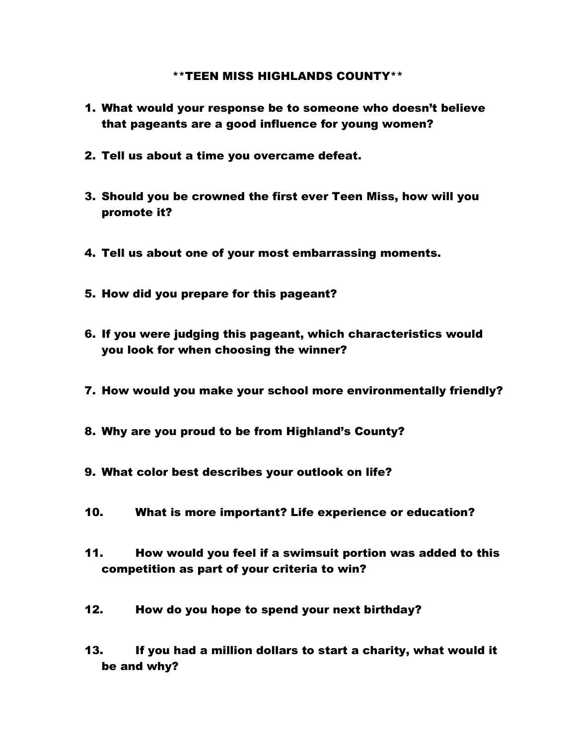## \*\*TEEN MISS HIGHLANDS COUNTY\*\*

- 1. What would your response be to someone who doesn't believe that pageants are a good influence for young women?
- 2. Tell us about a time you overcame defeat.
- 3. Should you be crowned the first ever Teen Miss, how will you promote it?
- 4. Tell us about one of your most embarrassing moments.
- 5. How did you prepare for this pageant?
- 6. If you were judging this pageant, which characteristics would you look for when choosing the winner?
- 7. How would you make your school more environmentally friendly?
- 8. Why are you proud to be from Highland's County?
- 9. What color best describes your outlook on life?
- 10. What is more important? Life experience or education?
- 11. How would you feel if a swimsuit portion was added to this competition as part of your criteria to win?
- 12. How do you hope to spend your next birthday?
- 13. If you had a million dollars to start a charity, what would it be and why?